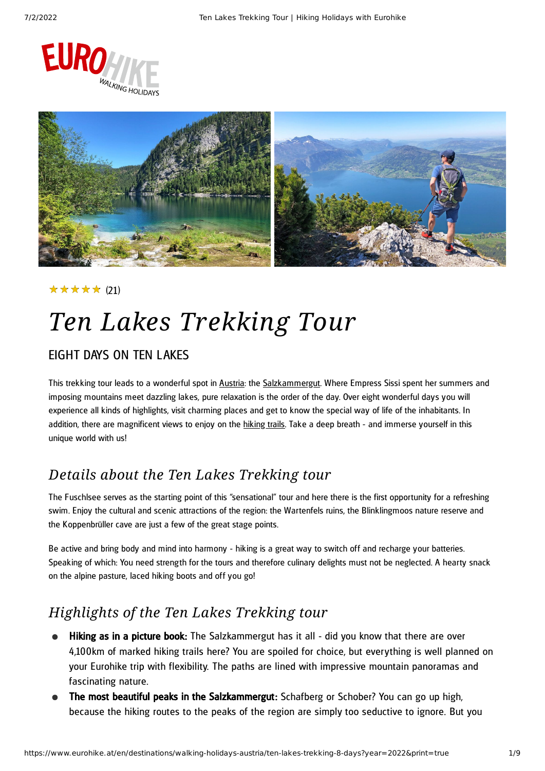



### ★★★★★ (21)

# *Ten Lakes Trekking Tour*

### EIGHT DAYS ON TEN LAKES

This trekking tour leads to a wonderful spot in [Austria](https://www.eurohike.at/en/destinations/walking-holidays-austria): the [Salzkammergut.](https://www.eurohike.at/en/destinations/walking-holidays-austria/salzkammergut) Where Empress Sissi spent her summers and imposing mountains meet dazzling lakes, pure relaxation is the order of the day. Over eight wonderful days you will experience all kinds of highlights, visit charming places and get to know the special way of life of the inhabitants. In addition, there are magnificent views to enjoy on the [hiking](https://www.eurohike.at/en/hiking-paths) trails. Take a deep breath - and immerse yourself in this unique world with us!

### *Details about the Ten Lakes Trekking tour*

The Fuschlsee serves as the starting point of this "sensational" tour and here there is the first opportunity for a refreshing swim. Enjoy the cultural and scenic attractions of the region: the Wartenfels ruins, the Blinklingmoos nature reserve and the Koppenbrüller cave are just a few of the great stage points.

Be active and bring body and mind into harmony - hiking is a great way to switch off and recharge your batteries. Speaking of which: You need strength for the tours and therefore culinary delights must not be neglected. A hearty snack on the alpine pasture, laced hiking boots and off you go!

## *Highlights of the Ten Lakes Trekking tour*

- Hiking as in a picture book: The Salzkammergut has it all did you know that there are over 4,100km of marked hiking trails here? You are spoiled for choice, but everything is well planned on your Eurohike trip with flexibility. The paths are lined with impressive mountain panoramas and fascinating nature.
- The most beautiful peaks in the Salzkammergut: Schafberg or Schober? You can go up high, because the hiking routes to the peaks of the region are simply too seductive to ignore. But you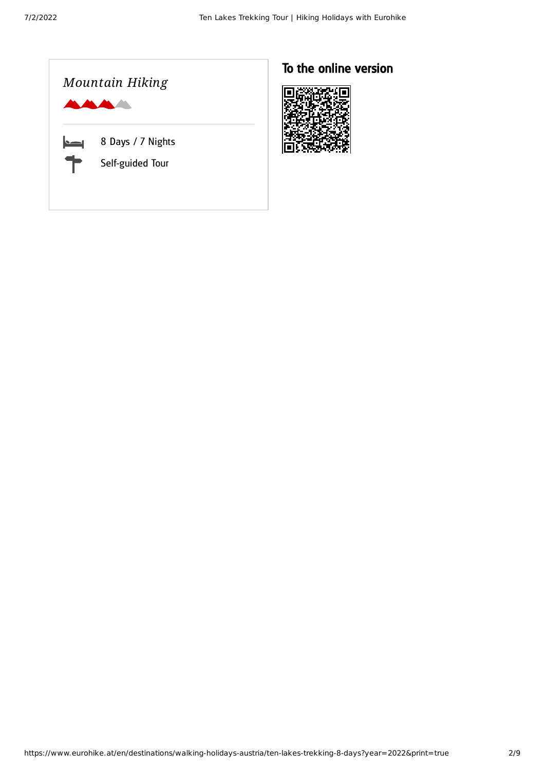

## To the online version

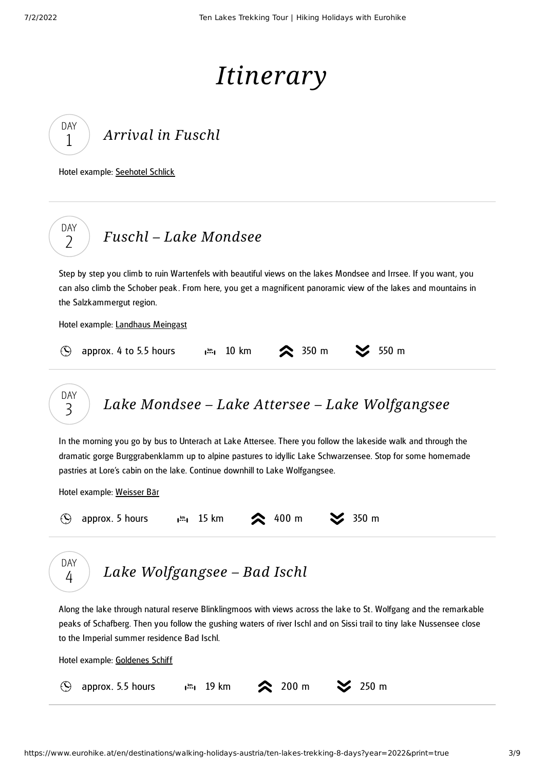# *Itinerary*

*[Arrival](#page-2-0) in Fuschl* DAY 1

<span id="page-2-0"></span>Hotel example: [Seehotel](https://www.seehotelschlick.at/en/) Schlick

DAY  $\overline{\phantom{0}}$ 

## *Fuschl – Lake [Mondsee](#page-2-1)*

<span id="page-2-1"></span>Step by step you climb to ruin Wartenfels with beautiful views on the lakes Mondsee and Irrsee. If you want, you can also climb the Schober peak . From here, you get a magnificent panoramic view of the lakes and mountains in the Salzkammergut region.

Hotel example: [Landhaus](https://www.landhausmeingast.at/) Meingast

|  | $\odot$ approx. 4 to 5.5 hours |  |  |  |  | $\frac{1}{2}$ 10 km $\approx$ 350 m $\approx$ 550 m |  |  |
|--|--------------------------------|--|--|--|--|-----------------------------------------------------|--|--|
|--|--------------------------------|--|--|--|--|-----------------------------------------------------|--|--|

*Lake Mondsee – Lake Attersee – Lake [Wolfgangsee](#page-2-2)* DAY 3

<span id="page-2-2"></span>In the morning you go by bus to Unterach at Lake Attersee. There you follow the lakeside walk and through the dramatic gorge Burggrabenklamm up to alpine pastures to idyllic Lake Schwarzensee. Stop for some homemade pastries at Lore's cabin on the lake. Continue downhill to Lake Wolfgangsee.

Hotel example: [Weisser](https://www.weisserbaer.at/en/) Bär

| $(\blacktriangle)$                          | approx. 5 hours $\lim_{m \to \infty} 15 \text{ km}$ 2 400 m $\approx$ 350 m |  |  |  |
|---------------------------------------------|-----------------------------------------------------------------------------|--|--|--|
| $\begin{bmatrix} \nDAY \\ 4\n\end{bmatrix}$ | Lake Wolfgangsee - Bad Ischl                                                |  |  |  |

<span id="page-2-3"></span>Along the lake through natural reserve Blinklingmoos with views across the lake to St. Wolfgang and the remarkable peaks of Schafberg. Then you follow the gushing waters of river Ischl and on Sissi trail to tiny lake Nussensee close to the Imperial summer residence Bad Ischl.

Hotel example: [Goldenes](https://www.goldenes-schiff.at/) Schiff

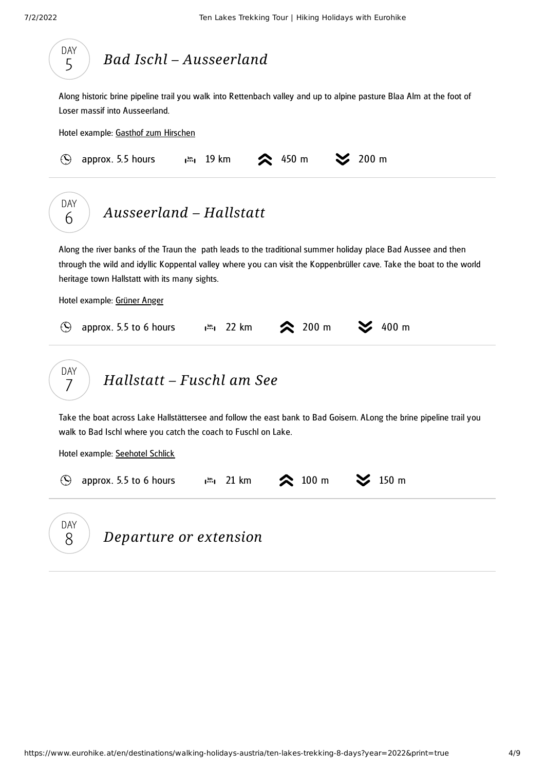<span id="page-3-2"></span><span id="page-3-1"></span><span id="page-3-0"></span>

|            | Along historic brine pipeline trail you walk into Rettenbach valley and up to alpine pasture Blaa Alm at the foot of<br>Loser massif into Ausseerland.                                                                                                                                 |
|------------|----------------------------------------------------------------------------------------------------------------------------------------------------------------------------------------------------------------------------------------------------------------------------------------|
|            | Hotel example: Gasthof zum Hirschen                                                                                                                                                                                                                                                    |
| $\odot$    | $\geq$ 200 m<br>450 m<br>approx. 5.5 hours<br>$\mathbf{I}^{\text{km}}$ 19 km                                                                                                                                                                                                           |
| DAY<br>6   | Ausseerland - Hallstatt                                                                                                                                                                                                                                                                |
|            |                                                                                                                                                                                                                                                                                        |
|            | Along the river banks of the Traun the path leads to the traditional summer holiday place Bad Aussee and then<br>through the wild and idyllic Koppental valley where you can visit the Koppenbrüller cave. Take the boat to the world<br>heritage town Hallstatt with its many sights. |
| $\bigcirc$ | Hotel example: Grüner Anger<br>$\approx 200 \text{ m}$<br>400 m<br>$\mathbf{I}^{\text{km}}$ 22 km<br>approx. 5.5 to 6 hours                                                                                                                                                            |
| DAY<br>7   | Hallstatt – Fuschl am See                                                                                                                                                                                                                                                              |
|            | Take the boat across Lake Hallstättersee and follow the east bank to Bad Goisern. ALong the brine pipeline trail you<br>walk to Bad Ischl where you catch the coach to Fuschl on Lake.                                                                                                 |
|            | Hotel example: Seehotel Schlick                                                                                                                                                                                                                                                        |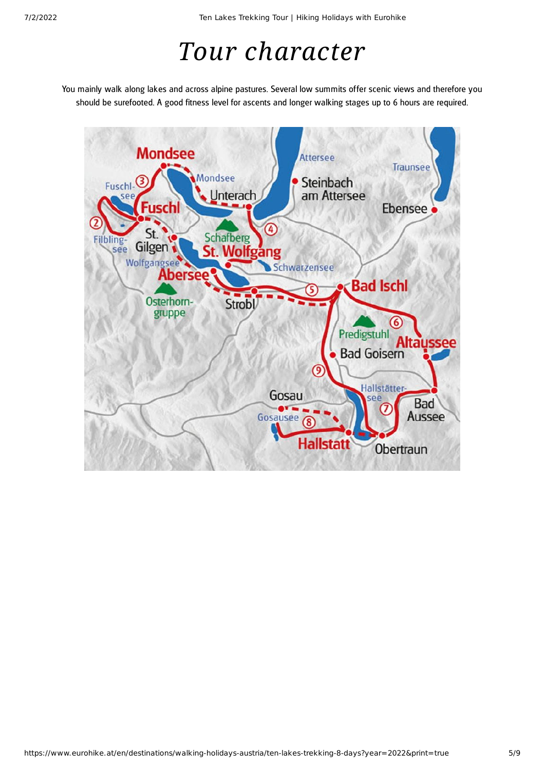# *Tour character*

You mainly walk along lakes and across alpine pastures. Several low summits offer scenic views and therefore you should be surefooted. A good fitness level for ascents and longer walking stages up to 6 hours are required.

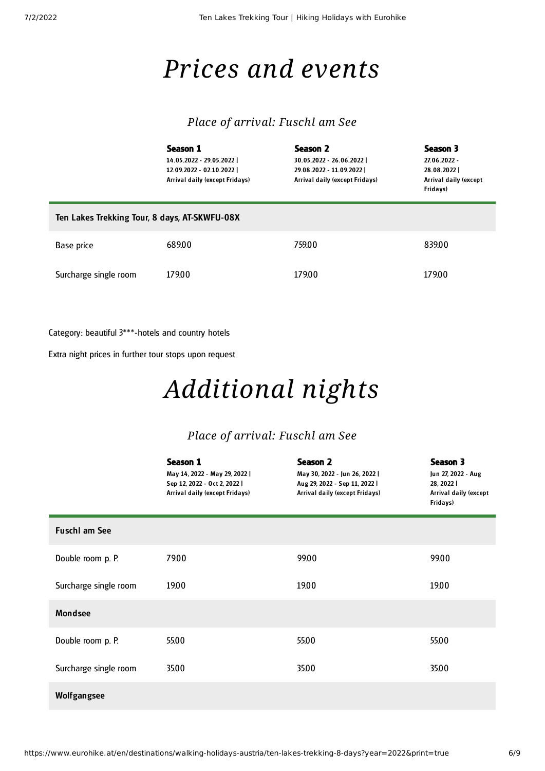## *Prices and events*

### *Place of arrival: Fuschl am See*

|                                               | Season 1<br>14.05.2022 - 29.05.2022  <br>12.09.2022 - 02.10.2022  <br>Arrival daily (except Fridays) | Season 2<br>30.05.2022 - 26.06.2022  <br>29.08.2022 - 11.09.2022  <br>Arrival daily (except Fridays) | Season 3<br>27.06.2022 -<br>28.08.2022<br>Arrival daily (except<br>Fridays) |
|-----------------------------------------------|------------------------------------------------------------------------------------------------------|------------------------------------------------------------------------------------------------------|-----------------------------------------------------------------------------|
| Ten Lakes Trekking Tour, 8 days, AT-SKWFU-08X |                                                                                                      |                                                                                                      |                                                                             |
| Base price                                    | 68900                                                                                                | 759.00                                                                                               | 839.00                                                                      |
| Surcharge single room                         | 179.00                                                                                               | 179.00                                                                                               | 179.00                                                                      |

Category: beautiful 3\*\*\*-hotels and country hotels

Extra night prices in further tour stops upon request

# *Additional nights*

### *Place of arrival: Fuschl am See*

|                       | Season 1<br>May 14, 2022 - May 29, 2022  <br>Sep 12, 2022 - Oct 2, 2022  <br>Arrival daily (except Fridays) | Season 2<br>May 30, 2022 - Jun 26, 2022  <br>Aug 29, 2022 - Sep 11, 2022  <br>Arrival daily (except Fridays) | Season 3<br>Jun 27, 2022 - Aug<br>28, 2022  <br>Arrival daily (except<br>Fridays) |
|-----------------------|-------------------------------------------------------------------------------------------------------------|--------------------------------------------------------------------------------------------------------------|-----------------------------------------------------------------------------------|
| <b>Fuschl am See</b>  |                                                                                                             |                                                                                                              |                                                                                   |
| Double room p. P.     | 79.00                                                                                                       | 99.00                                                                                                        | 99.00                                                                             |
| Surcharge single room | 19.00                                                                                                       | 19.00                                                                                                        | 19.00                                                                             |
| <b>Mondsee</b>        |                                                                                                             |                                                                                                              |                                                                                   |
| Double room p. P.     | 55.00                                                                                                       | 55.00                                                                                                        | 55.00                                                                             |
| Surcharge single room | 35.00                                                                                                       | 35.00                                                                                                        | 35.00                                                                             |
| Wolfgangsee           |                                                                                                             |                                                                                                              |                                                                                   |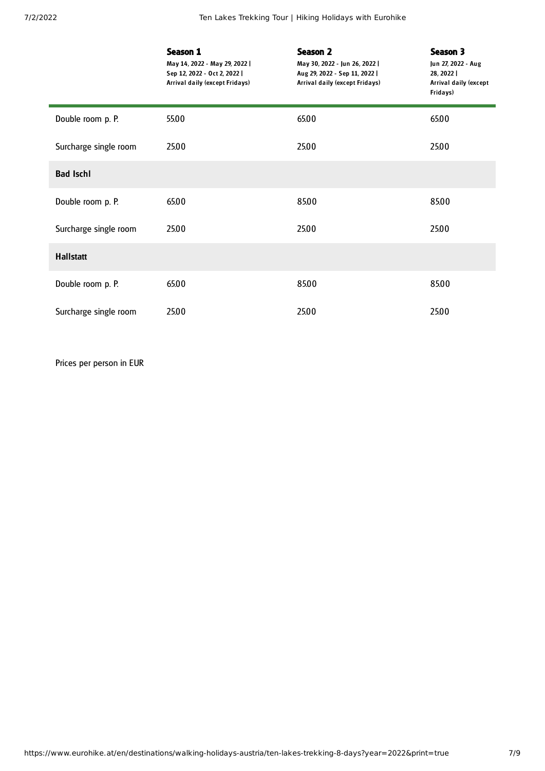|                       | Season 1<br>May 14, 2022 - May 29, 2022  <br>Sep 12, 2022 - Oct 2, 2022  <br>Arrival daily (except Fridays) | Season 2<br>May 30, 2022 - Jun 26, 2022  <br>Aug 29, 2022 - Sep 11, 2022  <br>Arrival daily (except Fridays) | Season 3<br>Jun 27, 2022 - Aug<br>28, 2022  <br><b>Arrival daily (except</b><br>Fridays) |
|-----------------------|-------------------------------------------------------------------------------------------------------------|--------------------------------------------------------------------------------------------------------------|------------------------------------------------------------------------------------------|
| Double room p. P.     | 55.00                                                                                                       | 65.00                                                                                                        | 65.00                                                                                    |
| Surcharge single room | 25.00                                                                                                       | 25.00                                                                                                        | 25.00                                                                                    |
| <b>Bad Ischl</b>      |                                                                                                             |                                                                                                              |                                                                                          |
| Double room p. P.     | 65.00                                                                                                       | 85.00                                                                                                        | 85.00                                                                                    |
| Surcharge single room | 25.00                                                                                                       | 25.00                                                                                                        | 25.00                                                                                    |
| <b>Hallstatt</b>      |                                                                                                             |                                                                                                              |                                                                                          |
| Double room p. P.     | 65.00                                                                                                       | 85.00                                                                                                        | 85.00                                                                                    |
| Surcharge single room | 25.00                                                                                                       | 25.00                                                                                                        | 25.00                                                                                    |

Prices per person in EUR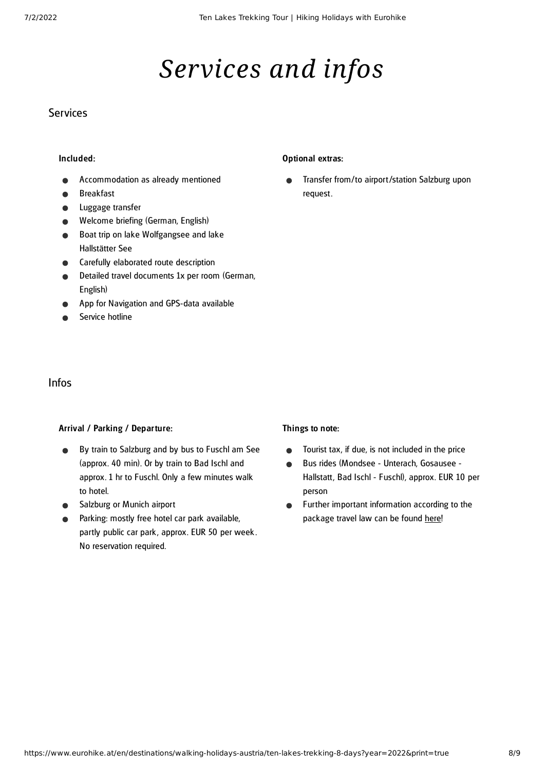# *Services and infos*

### **Services**

#### Included:

- Accommodation as already mentioned
- Breakfast
- Luggage transfer
- Welcome briefing (German, English)
- Boat trip on lake Wolfgangsee and lake Hallstätter See
- Carefully elaborated route description
- Detailed travel documents 1x per room (German, English)
- App for Navigation and GPS-data available
- Service hotline

#### Optional extras:

Transfer from/to airport/station Salzburg upon request.

#### Infos

#### Arrival / Parking / Departure:

- By train to Salzburg and by bus to Fuschl am See  $\bullet$ (approx. 40 min). Or by train to Bad Ischl and approx. 1 hr to Fuschl. Only a few minutes walk to hotel.
- Salzburg or Munich airport
- Parking: mostly free hotel car park available, partly public car park , approx. EUR 50 per week . No reservation required.

#### Things to note:

- Tourist tax, if due, is not included in the price  $\bullet$
- Bus rides (Mondsee Unterach, Gosausee  $\bullet$ Hallstatt, Bad Ischl - Fuschl), approx. EUR 10 per person
- Further important information according to the  $\bullet$ package travel law can be found [here](https://www.eurohike.at/en/travel-information/before-the-tour/pci)!